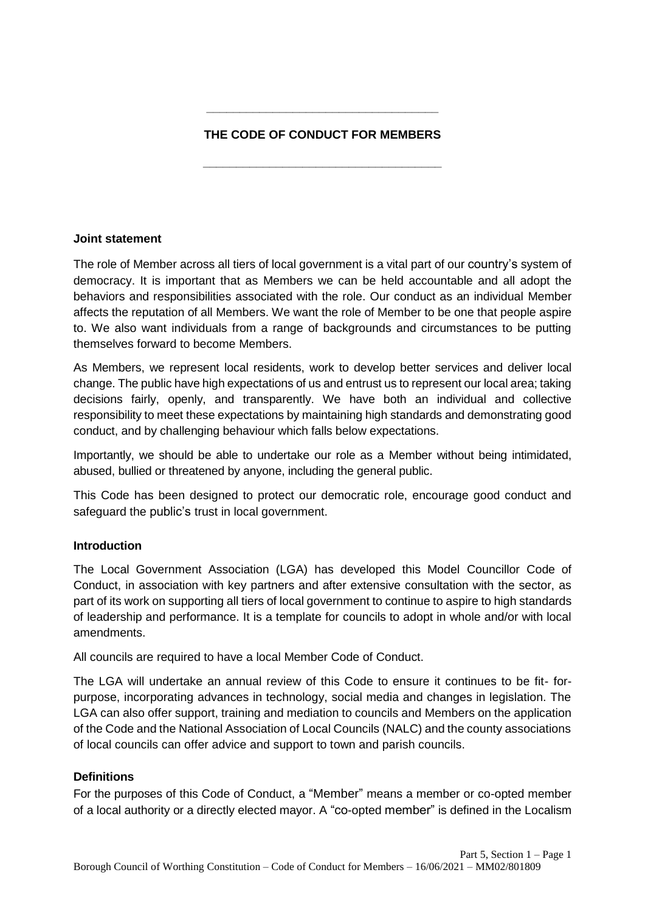# **THE CODE OF CONDUCT FOR MEMBERS**

**\_\_\_\_\_\_\_\_\_\_\_\_\_\_\_\_\_\_\_\_\_\_\_\_\_\_\_\_\_\_\_\_\_\_\_\_**

**\_\_\_\_\_\_\_\_\_\_\_\_\_\_\_\_\_\_\_\_\_\_\_\_\_\_\_\_\_\_\_\_\_\_\_**

## **Joint statement**

The role of Member across all tiers of local government is a vital part of our country's system of democracy. It is important that as Members we can be held accountable and all adopt the behaviors and responsibilities associated with the role. Our conduct as an individual Member affects the reputation of all Members. We want the role of Member to be one that people aspire to. We also want individuals from a range of backgrounds and circumstances to be putting themselves forward to become Members.

As Members, we represent local residents, work to develop better services and deliver local change. The public have high expectations of us and entrust us to represent our local area; taking decisions fairly, openly, and transparently. We have both an individual and collective responsibility to meet these expectations by maintaining high standards and demonstrating good conduct, and by challenging behaviour which falls below expectations.

Importantly, we should be able to undertake our role as a Member without being intimidated, abused, bullied or threatened by anyone, including the general public.

This Code has been designed to protect our democratic role, encourage good conduct and safeguard the public's trust in local government.

## **Introduction**

The Local Government Association (LGA) has developed this Model Councillor Code of Conduct, in association with key partners and after extensive consultation with the sector, as part of its work on supporting all tiers of local government to continue to aspire to high standards of leadership and performance. It is a template for councils to adopt in whole and/or with local amendments.

All councils are required to have a local Member Code of Conduct.

The LGA will undertake an annual review of this Code to ensure it continues to be fit- forpurpose, incorporating advances in technology, social media and changes in legislation. The LGA can also offer support, training and mediation to councils and Members on the application of the Code and the National Association of Local Councils (NALC) and the county associations of local councils can offer advice and support to town and parish councils.

## **Definitions**

For the purposes of this Code of Conduct, a "Member" means a member or co-opted member of a local authority or a directly elected mayor. A "co-opted member" is defined in the Localism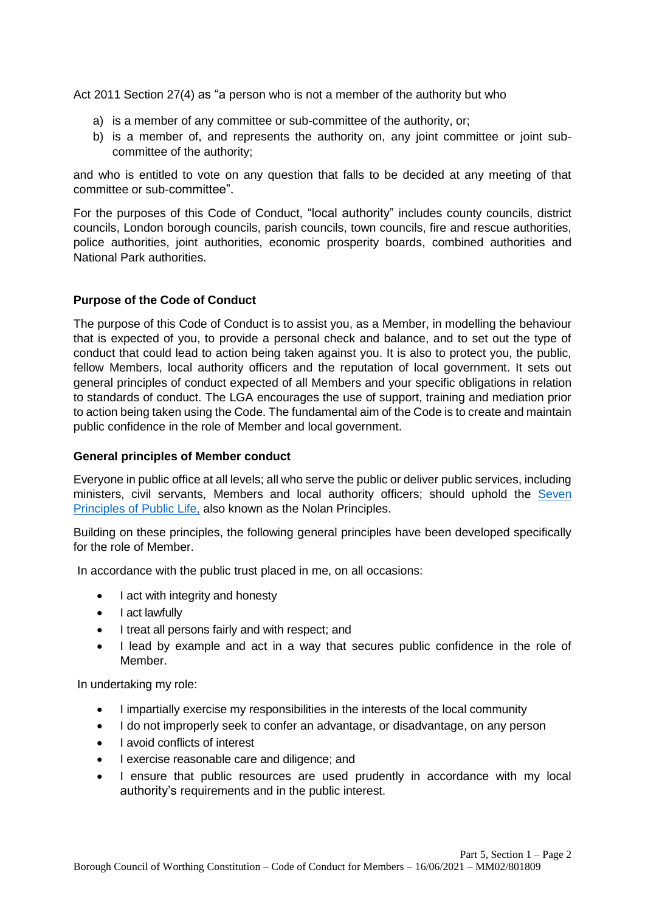Act 2011 Section 27(4) as "a person who is not a member of the authority but who

- a) is a member of any committee or sub-committee of the authority, or;
- b) is a member of, and represents the authority on, any joint committee or joint subcommittee of the authority;

and who is entitled to vote on any question that falls to be decided at any meeting of that committee or sub-committee".

For the purposes of this Code of Conduct, "local authority" includes county councils, district councils, London borough councils, parish councils, town councils, fire and rescue authorities, police authorities, joint authorities, economic prosperity boards, combined authorities and National Park authorities.

## **Purpose of the Code of Conduct**

The purpose of this Code of Conduct is to assist you, as a Member, in modelling the behaviour that is expected of you, to provide a personal check and balance, and to set out the type of conduct that could lead to action being taken against you. It is also to protect you, the public, fellow Members, local authority officers and the reputation of local government. It sets out general principles of conduct expected of all Members and your specific obligations in relation to standards of conduct. The LGA encourages the use of support, training and mediation prior to action being taken using the Code. The fundamental aim of the Code is to create and maintain public confidence in the role of Member and local government.

## **General principles of Member conduct**

Everyone in public office at all levels; all who serve the public or deliver public services, including ministers, civil servants, Members and local authority officers; should uphold the Seven [Principles of Public Life,](https://www.gov.uk/government/publications/the-7-principles-of-public-life/the-7-principles-of-public-life--2) also known as the Nolan Principles.

Building on these principles, the following general principles have been developed specifically for the role of Member.

In accordance with the public trust placed in me, on all occasions:

- I act with integrity and honesty
- Lact lawfully
- I treat all persons fairly and with respect; and
- I lead by example and act in a way that secures public confidence in the role of Member.

In undertaking my role:

- I impartially exercise my responsibilities in the interests of the local community
- I do not improperly seek to confer an advantage, or disadvantage, on any person
- I avoid conflicts of interest
- I exercise reasonable care and diligence; and
- I ensure that public resources are used prudently in accordance with my local authority's requirements and in the public interest.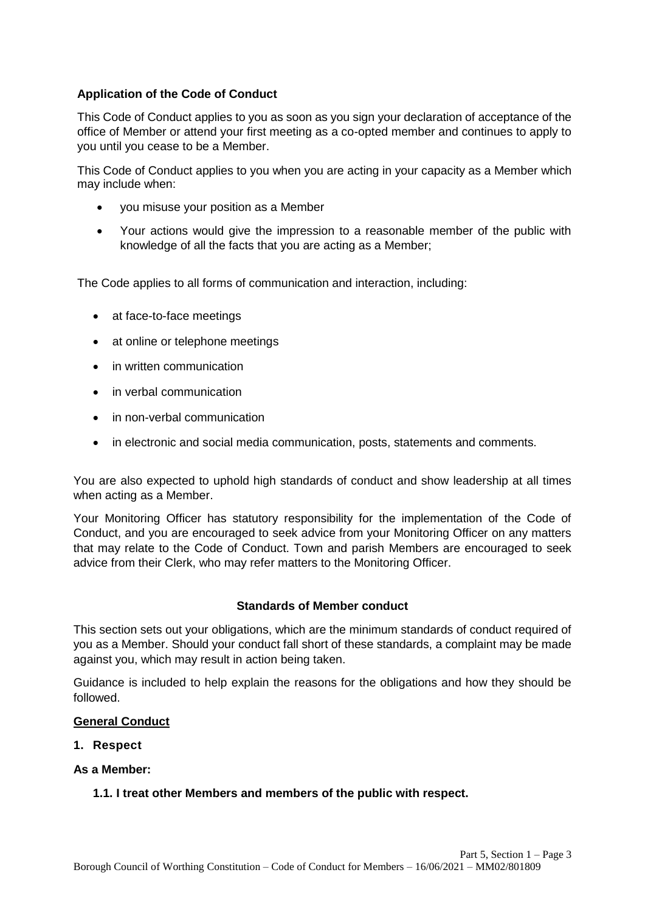## **Application of the Code of Conduct**

This Code of Conduct applies to you as soon as you sign your declaration of acceptance of the office of Member or attend your first meeting as a co-opted member and continues to apply to you until you cease to be a Member.

This Code of Conduct applies to you when you are acting in your capacity as a Member which may include when:

- you misuse your position as a Member
- Your actions would give the impression to a reasonable member of the public with knowledge of all the facts that you are acting as a Member;

The Code applies to all forms of communication and interaction, including:

- at face-to-face meetings
- at online or telephone meetings
- in written communication
- in verbal communication
- in non-verbal communication
- in electronic and social media communication, posts, statements and comments.

You are also expected to uphold high standards of conduct and show leadership at all times when acting as a Member.

Your Monitoring Officer has statutory responsibility for the implementation of the Code of Conduct, and you are encouraged to seek advice from your Monitoring Officer on any matters that may relate to the Code of Conduct. Town and parish Members are encouraged to seek advice from their Clerk, who may refer matters to the Monitoring Officer.

#### **Standards of Member conduct**

This section sets out your obligations, which are the minimum standards of conduct required of you as a Member. Should your conduct fall short of these standards, a complaint may be made against you, which may result in action being taken.

Guidance is included to help explain the reasons for the obligations and how they should be followed.

#### **General Conduct**

**1. Respect**

#### **As a Member:**

#### **1.1. I treat other Members and members of the public with respect.**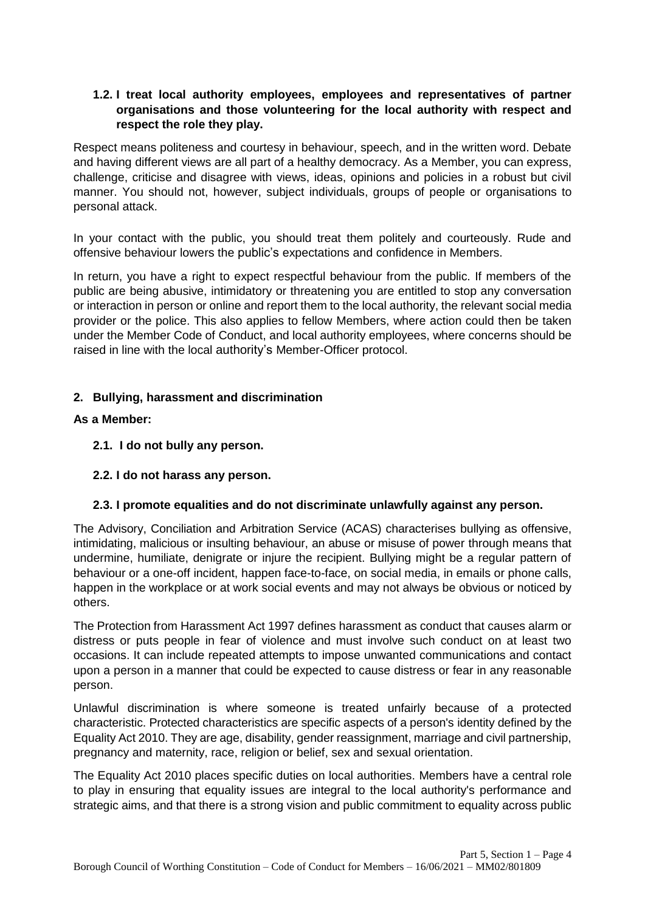## **1.2. I treat local authority employees, employees and representatives of partner organisations and those volunteering for the local authority with respect and respect the role they play.**

Respect means politeness and courtesy in behaviour, speech, and in the written word. Debate and having different views are all part of a healthy democracy. As a Member, you can express, challenge, criticise and disagree with views, ideas, opinions and policies in a robust but civil manner. You should not, however, subject individuals, groups of people or organisations to personal attack.

In your contact with the public, you should treat them politely and courteously. Rude and offensive behaviour lowers the public's expectations and confidence in Members.

In return, you have a right to expect respectful behaviour from the public. If members of the public are being abusive, intimidatory or threatening you are entitled to stop any conversation or interaction in person or online and report them to the local authority, the relevant social media provider or the police. This also applies to fellow Members, where action could then be taken under the Member Code of Conduct, and local authority employees, where concerns should be raised in line with the local authority's Member-Officer protocol.

## **2. Bullying, harassment and discrimination**

## **As a Member:**

- **2.1. I do not bully any person.**
- **2.2. I do not harass any person.**

## **2.3. I promote equalities and do not discriminate unlawfully against any person.**

The Advisory, Conciliation and Arbitration Service (ACAS) characterises bullying as offensive, intimidating, malicious or insulting behaviour, an abuse or misuse of power through means that undermine, humiliate, denigrate or injure the recipient. Bullying might be a regular pattern of behaviour or a one-off incident, happen face-to-face, on social media, in emails or phone calls, happen in the workplace or at work social events and may not always be obvious or noticed by others.

The Protection from Harassment Act 1997 defines harassment as conduct that causes alarm or distress or puts people in fear of violence and must involve such conduct on at least two occasions. It can include repeated attempts to impose unwanted communications and contact upon a person in a manner that could be expected to cause distress or fear in any reasonable person.

Unlawful discrimination is where someone is treated unfairly because of a protected characteristic. Protected characteristics are specific aspects of a person's identity defined by the Equality Act 2010. They are age, disability, gender reassignment, marriage and civil partnership, pregnancy and maternity, race, religion or belief, sex and sexual orientation.

The Equality Act 2010 places specific duties on local authorities. Members have a central role to play in ensuring that equality issues are integral to the local authority's performance and strategic aims, and that there is a strong vision and public commitment to equality across public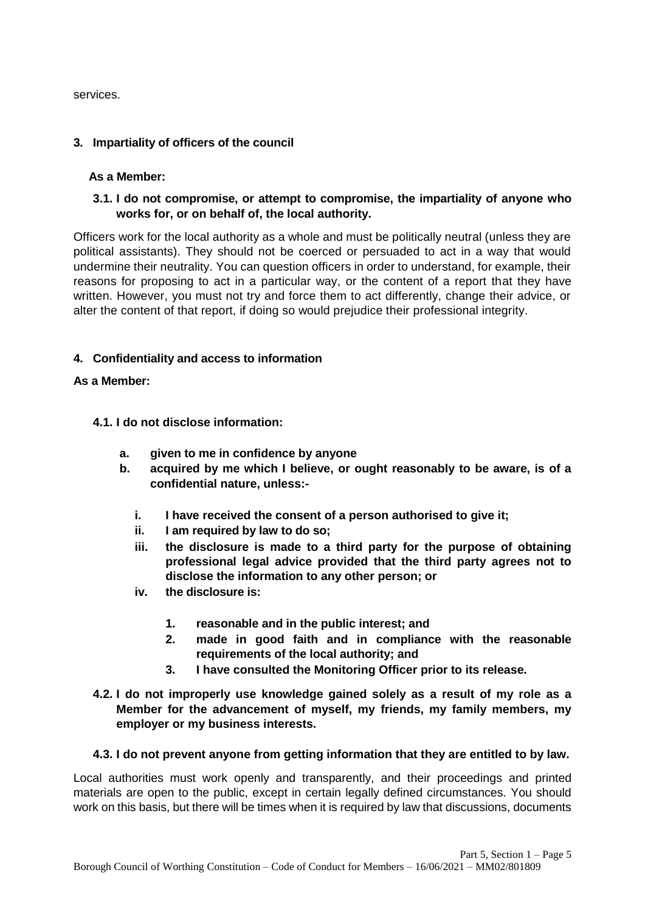services.

## **3. Impartiality of officers of the council**

#### **As a Member:**

**3.1. I do not compromise, or attempt to compromise, the impartiality of anyone who works for, or on behalf of, the local authority.**

Officers work for the local authority as a whole and must be politically neutral (unless they are political assistants). They should not be coerced or persuaded to act in a way that would undermine their neutrality. You can question officers in order to understand, for example, their reasons for proposing to act in a particular way, or the content of a report that they have written. However, you must not try and force them to act differently, change their advice, or alter the content of that report, if doing so would prejudice their professional integrity.

## **4. Confidentiality and access to information**

#### **As a Member:**

#### **4.1. I do not disclose information:**

- **a. given to me in confidence by anyone**
- **b. acquired by me which I believe, or ought reasonably to be aware, is of a confidential nature, unless:**
	- **i. I have received the consent of a person authorised to give it;**
	- **ii. I am required by law to do so;**
	- **iii. the disclosure is made to a third party for the purpose of obtaining professional legal advice provided that the third party agrees not to disclose the information to any other person; or**
	- **iv. the disclosure is:**
		- **1. reasonable and in the public interest; and**
		- **2. made in good faith and in compliance with the reasonable requirements of the local authority; and**
		- **3. I have consulted the Monitoring Officer prior to its release.**
- **4.2. I do not improperly use knowledge gained solely as a result of my role as a Member for the advancement of myself, my friends, my family members, my employer or my business interests.**

#### **4.3. I do not prevent anyone from getting information that they are entitled to by law.**

Local authorities must work openly and transparently, and their proceedings and printed materials are open to the public, except in certain legally defined circumstances. You should work on this basis, but there will be times when it is required by law that discussions, documents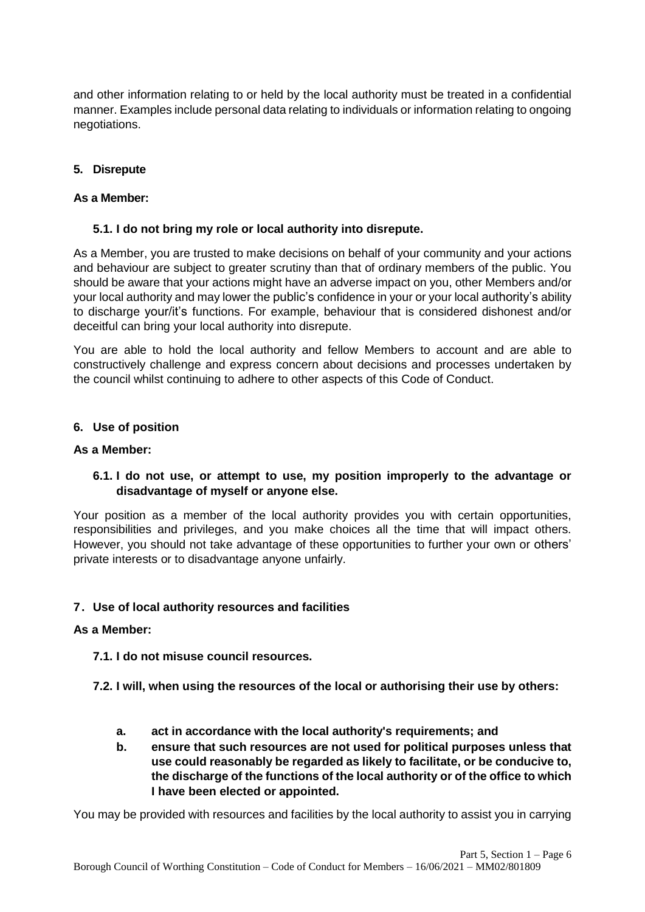and other information relating to or held by the local authority must be treated in a confidential manner. Examples include personal data relating to individuals or information relating to ongoing negotiations.

## **5. Disrepute**

## **As a Member:**

## **5.1. I do not bring my role or local authority into disrepute.**

As a Member, you are trusted to make decisions on behalf of your community and your actions and behaviour are subject to greater scrutiny than that of ordinary members of the public. You should be aware that your actions might have an adverse impact on you, other Members and/or your local authority and may lower the public's confidence in your or your local authority's ability to discharge your/it's functions. For example, behaviour that is considered dishonest and/or deceitful can bring your local authority into disrepute.

You are able to hold the local authority and fellow Members to account and are able to constructively challenge and express concern about decisions and processes undertaken by the council whilst continuing to adhere to other aspects of this Code of Conduct.

## **6. Use of position**

#### **As a Member:**

## **6.1. I do not use, or attempt to use, my position improperly to the advantage or disadvantage of myself or anyone else.**

Your position as a member of the local authority provides you with certain opportunities, responsibilities and privileges, and you make choices all the time that will impact others. However, you should not take advantage of these opportunities to further your own or others' private interests or to disadvantage anyone unfairly.

## **7. Use of local authority resources and facilities**

## **As a Member:**

**7.1. I do not misuse council resources.**

- **7.2. I will, when using the resources of the local or authorising their use by others:**
	- **a. act in accordance with the local authority's requirements; and**
	- **b. ensure that such resources are not used for political purposes unless that use could reasonably be regarded as likely to facilitate, or be conducive to, the discharge of the functions of the local authority or of the office to which I have been elected or appointed.**

You may be provided with resources and facilities by the local authority to assist you in carrying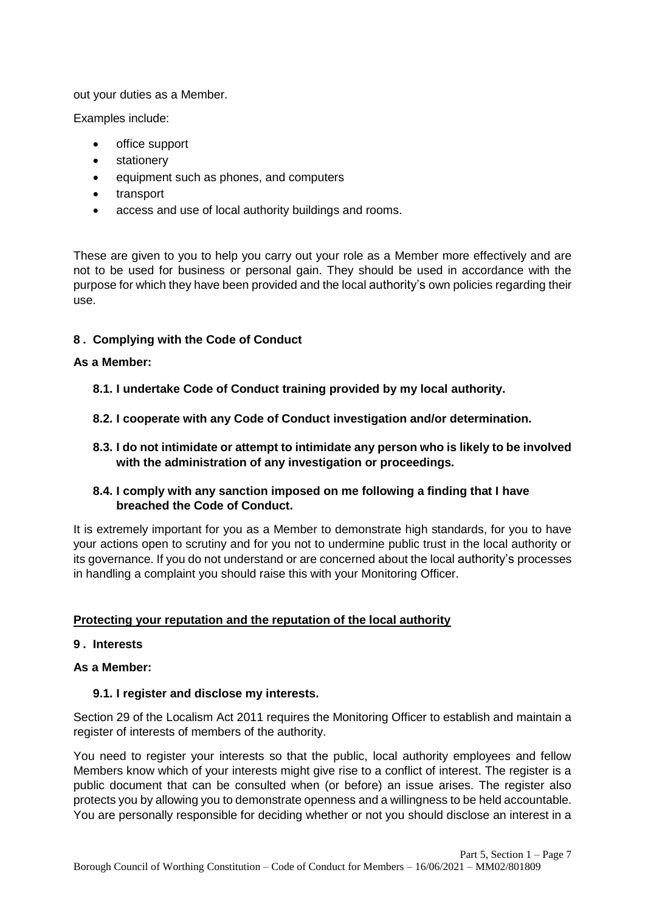out your duties as a Member.

Examples include:

- office support
- stationery
- equipment such as phones, and computers
- transport
- access and use of local authority buildings and rooms.

These are given to you to help you carry out your role as a Member more effectively and are not to be used for business or personal gain. They should be used in accordance with the purpose for which they have been provided and the local authority's own policies regarding their use.

## **8 . Complying with the Code of Conduct**

## **As a Member:**

- **8.1. I undertake Code of Conduct training provided by my local authority.**
- **8.2. I cooperate with any Code of Conduct investigation and/or determination.**
- **8.3. I do not intimidate or attempt to intimidate any person who is likely to be involved with the administration of any investigation or proceedings.**

## **8.4. I comply with any sanction imposed on me following a finding that I have breached the Code of Conduct.**

It is extremely important for you as a Member to demonstrate high standards, for you to have your actions open to scrutiny and for you not to undermine public trust in the local authority or its governance. If you do not understand or are concerned about the local authority's processes in handling a complaint you should raise this with your Monitoring Officer.

## **Protecting your reputation and the reputation of the local authority**

## **9 . Interests**

## **As a Member:**

## **9.1. I register and disclose my interests.**

Section 29 of the Localism Act 2011 requires the Monitoring Officer to establish and maintain a register of interests of members of the authority.

You need to register your interests so that the public, local authority employees and fellow Members know which of your interests might give rise to a conflict of interest. The register is a public document that can be consulted when (or before) an issue arises. The register also protects you by allowing you to demonstrate openness and a willingness to be held accountable. You are personally responsible for deciding whether or not you should disclose an interest in a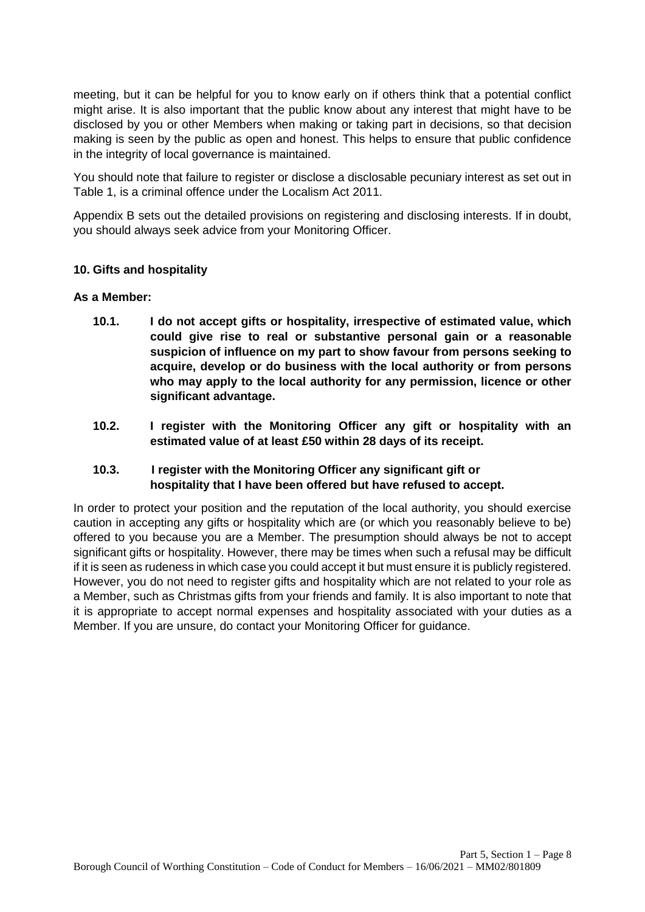meeting, but it can be helpful for you to know early on if others think that a potential conflict might arise. It is also important that the public know about any interest that might have to be disclosed by you or other Members when making or taking part in decisions, so that decision making is seen by the public as open and honest. This helps to ensure that public confidence in the integrity of local governance is maintained.

You should note that failure to register or disclose a disclosable pecuniary interest as set out in Table 1, is a criminal offence under the Localism Act 2011.

Appendix B sets out the detailed provisions on registering and disclosing interests. If in doubt, you should always seek advice from your Monitoring Officer.

## **10. Gifts and hospitality**

#### **As a Member:**

- **10.1. I do not accept gifts or hospitality, irrespective of estimated value, which could give rise to real or substantive personal gain or a reasonable suspicion of influence on my part to show favour from persons seeking to acquire, develop or do business with the local authority or from persons who may apply to the local authority for any permission, licence or other significant advantage.**
- **10.2. I register with the Monitoring Officer any gift or hospitality with an estimated value of at least £50 within 28 days of its receipt.**

## **10.3. I register with the Monitoring Officer any significant gift or hospitality that I have been offered but have refused to accept.**

In order to protect your position and the reputation of the local authority, you should exercise caution in accepting any gifts or hospitality which are (or which you reasonably believe to be) offered to you because you are a Member. The presumption should always be not to accept significant gifts or hospitality. However, there may be times when such a refusal may be difficult if it is seen as rudeness in which case you could accept it but must ensure it is publicly registered. However, you do not need to register gifts and hospitality which are not related to your role as a Member, such as Christmas gifts from your friends and family. It is also important to note that it is appropriate to accept normal expenses and hospitality associated with your duties as a Member. If you are unsure, do contact your Monitoring Officer for guidance.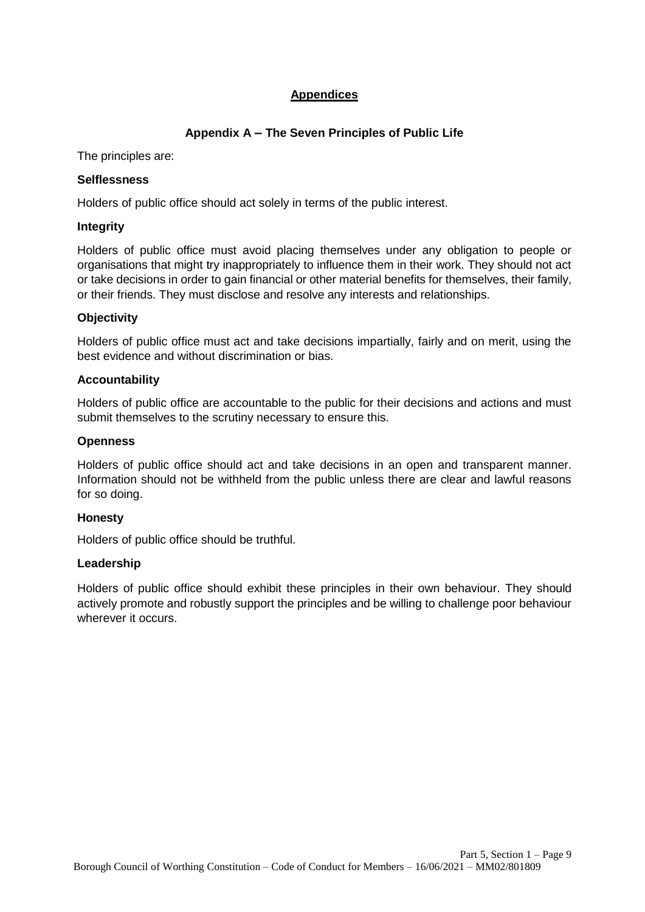# **Appendices**

## **Appendix A – The Seven Principles of Public Life**

The principles are:

## **Selflessness**

Holders of public office should act solely in terms of the public interest.

## **Integrity**

Holders of public office must avoid placing themselves under any obligation to people or organisations that might try inappropriately to influence them in their work. They should not act or take decisions in order to gain financial or other material benefits for themselves, their family, or their friends. They must disclose and resolve any interests and relationships.

## **Objectivity**

Holders of public office must act and take decisions impartially, fairly and on merit, using the best evidence and without discrimination or bias.

## **Accountability**

Holders of public office are accountable to the public for their decisions and actions and must submit themselves to the scrutiny necessary to ensure this.

## **Openness**

Holders of public office should act and take decisions in an open and transparent manner. Information should not be withheld from the public unless there are clear and lawful reasons for so doing.

## **Honesty**

Holders of public office should be truthful.

## **Leadership**

Holders of public office should exhibit these principles in their own behaviour. They should actively promote and robustly support the principles and be willing to challenge poor behaviour wherever it occurs.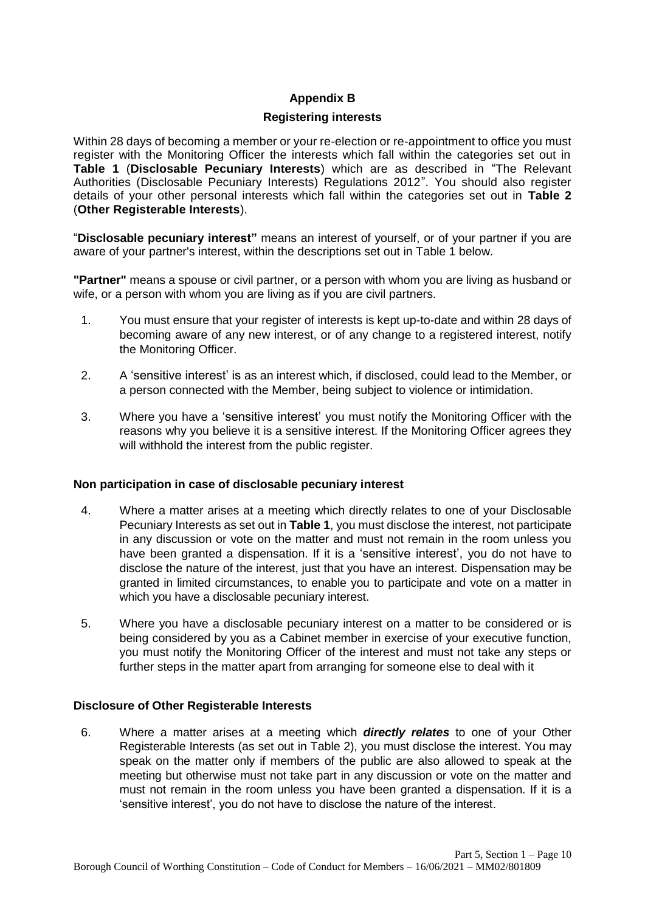## **Appendix B**

## **Registering interests**

Within 28 days of becoming a member or your re-election or re-appointment to office you must register with the Monitoring Officer the interests which fall within the categories set out in **Table 1** (**Disclosable Pecuniary Interests**) which are as described in "The Relevant Authorities (Disclosable Pecuniary Interests) Regulations 2012". You should also register details of your other personal interests which fall within the categories set out in **Table 2**  (**Other Registerable Interests**).

"**Disclosable pecuniary interest"** means an interest of yourself, or of your partner if you are aware of your partner's interest, within the descriptions set out in Table 1 below.

**"Partner"** means a spouse or civil partner, or a person with whom you are living as husband or wife, or a person with whom you are living as if you are civil partners.

- 1. You must ensure that your register of interests is kept up-to-date and within 28 days of becoming aware of any new interest, or of any change to a registered interest, notify the Monitoring Officer.
- 2. A 'sensitive interest' is as an interest which, if disclosed, could lead to the Member, or a person connected with the Member, being subject to violence or intimidation.
- 3. Where you have a 'sensitive interest' you must notify the Monitoring Officer with the reasons why you believe it is a sensitive interest. If the Monitoring Officer agrees they will withhold the interest from the public register.

## **Non participation in case of disclosable pecuniary interest**

- 4. Where a matter arises at a meeting which directly relates to one of your Disclosable Pecuniary Interests as set out in **Table 1**, you must disclose the interest, not participate in any discussion or vote on the matter and must not remain in the room unless you have been granted a dispensation. If it is a 'sensitive interest', you do not have to disclose the nature of the interest, just that you have an interest. Dispensation may be granted in limited circumstances, to enable you to participate and vote on a matter in which you have a disclosable pecuniary interest.
- 5. Where you have a disclosable pecuniary interest on a matter to be considered or is being considered by you as a Cabinet member in exercise of your executive function, you must notify the Monitoring Officer of the interest and must not take any steps or further steps in the matter apart from arranging for someone else to deal with it

## **Disclosure of Other Registerable Interests**

6. Where a matter arises at a meeting which *directly relates* to one of your Other Registerable Interests (as set out in Table 2), you must disclose the interest. You may speak on the matter only if members of the public are also allowed to speak at the meeting but otherwise must not take part in any discussion or vote on the matter and must not remain in the room unless you have been granted a dispensation. If it is a 'sensitive interest', you do not have to disclose the nature of the interest.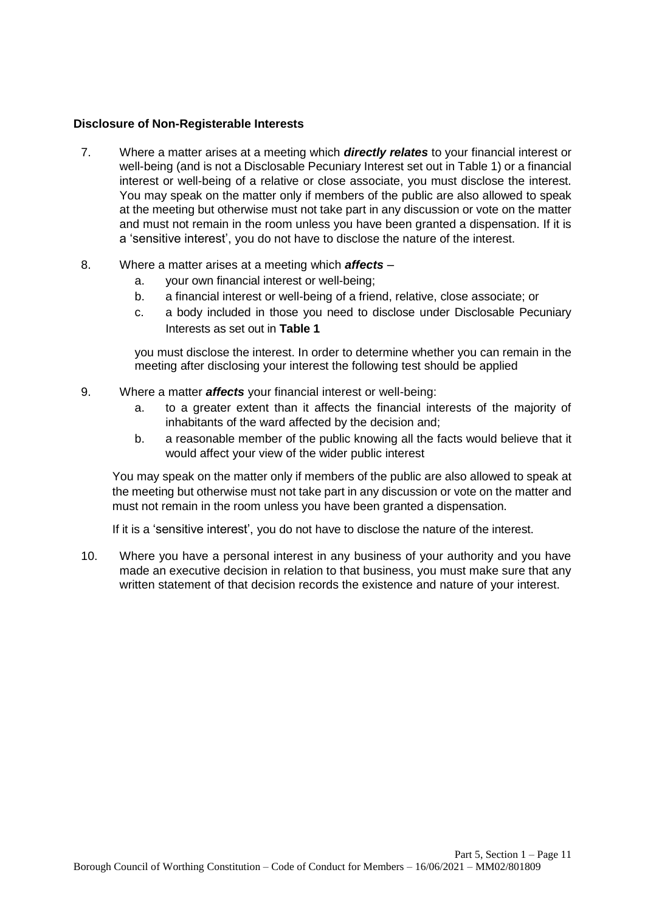#### **Disclosure of Non-Registerable Interests**

- 7. Where a matter arises at a meeting which *directly relates* to your financial interest or well-being (and is not a Disclosable Pecuniary Interest set out in Table 1) or a financial interest or well-being of a relative or close associate, you must disclose the interest. You may speak on the matter only if members of the public are also allowed to speak at the meeting but otherwise must not take part in any discussion or vote on the matter and must not remain in the room unless you have been granted a dispensation. If it is a 'sensitive interest', you do not have to disclose the nature of the interest.
- 8. Where a matter arises at a meeting which *affects* 
	- a. your own financial interest or well-being;
	- b. a financial interest or well-being of a friend, relative, close associate; or
	- c. a body included in those you need to disclose under Disclosable Pecuniary Interests as set out in **Table 1**

you must disclose the interest. In order to determine whether you can remain in the meeting after disclosing your interest the following test should be applied

- 9. Where a matter *affects* your financial interest or well-being:
	- a. to a greater extent than it affects the financial interests of the majority of inhabitants of the ward affected by the decision and;
	- b. a reasonable member of the public knowing all the facts would believe that it would affect your view of the wider public interest

You may speak on the matter only if members of the public are also allowed to speak at the meeting but otherwise must not take part in any discussion or vote on the matter and must not remain in the room unless you have been granted a dispensation.

If it is a 'sensitive interest', you do not have to disclose the nature of the interest.

10. Where you have a personal interest in any business of your authority and you have made an executive decision in relation to that business, you must make sure that any written statement of that decision records the existence and nature of your interest.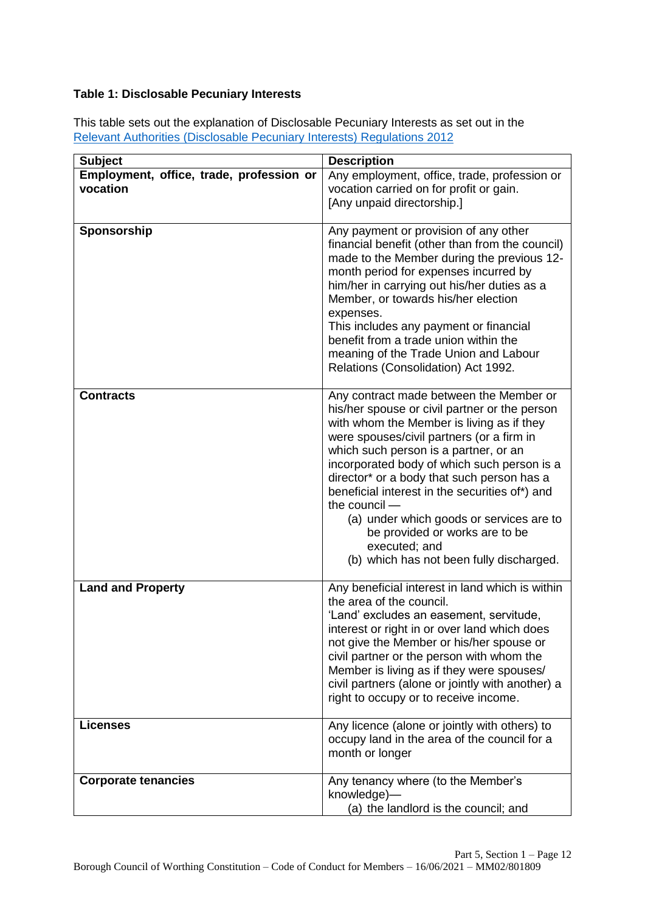## **Table 1: Disclosable Pecuniary Interests**

This table sets out the explanation of Disclosable Pecuniary Interests as set out in the [Relevant Authorities \(Disclosable Pecuniary Interests\) Regulations 2012](https://www.legislation.gov.uk/uksi/2012/1464/made)

| <b>Subject</b>                                       | <b>Description</b>                                                                                                                                                                                                                                                                                                                                                                                                                                                                                                                     |
|------------------------------------------------------|----------------------------------------------------------------------------------------------------------------------------------------------------------------------------------------------------------------------------------------------------------------------------------------------------------------------------------------------------------------------------------------------------------------------------------------------------------------------------------------------------------------------------------------|
| Employment, office, trade, profession or<br>vocation | Any employment, office, trade, profession or<br>vocation carried on for profit or gain.<br>[Any unpaid directorship.]                                                                                                                                                                                                                                                                                                                                                                                                                  |
| Sponsorship                                          | Any payment or provision of any other<br>financial benefit (other than from the council)<br>made to the Member during the previous 12-<br>month period for expenses incurred by<br>him/her in carrying out his/her duties as a<br>Member, or towards his/her election<br>expenses.<br>This includes any payment or financial<br>benefit from a trade union within the<br>meaning of the Trade Union and Labour<br>Relations (Consolidation) Act 1992.                                                                                  |
| <b>Contracts</b>                                     | Any contract made between the Member or<br>his/her spouse or civil partner or the person<br>with whom the Member is living as if they<br>were spouses/civil partners (or a firm in<br>which such person is a partner, or an<br>incorporated body of which such person is a<br>director* or a body that such person has a<br>beneficial interest in the securities of*) and<br>the council -<br>(a) under which goods or services are to<br>be provided or works are to be<br>executed; and<br>(b) which has not been fully discharged. |
| <b>Land and Property</b>                             | Any beneficial interest in land which is within<br>the area of the council.<br>'Land' excludes an easement, servitude,<br>interest or right in or over land which does<br>not give the Member or his/her spouse or<br>civil partner or the person with whom the<br>Member is living as if they were spouses/<br>civil partners (alone or jointly with another) a<br>right to occupy or to receive income.                                                                                                                              |
| <b>Licenses</b>                                      | Any licence (alone or jointly with others) to<br>occupy land in the area of the council for a<br>month or longer                                                                                                                                                                                                                                                                                                                                                                                                                       |
| <b>Corporate tenancies</b>                           | Any tenancy where (to the Member's<br>knowledge)-<br>(a) the landlord is the council; and                                                                                                                                                                                                                                                                                                                                                                                                                                              |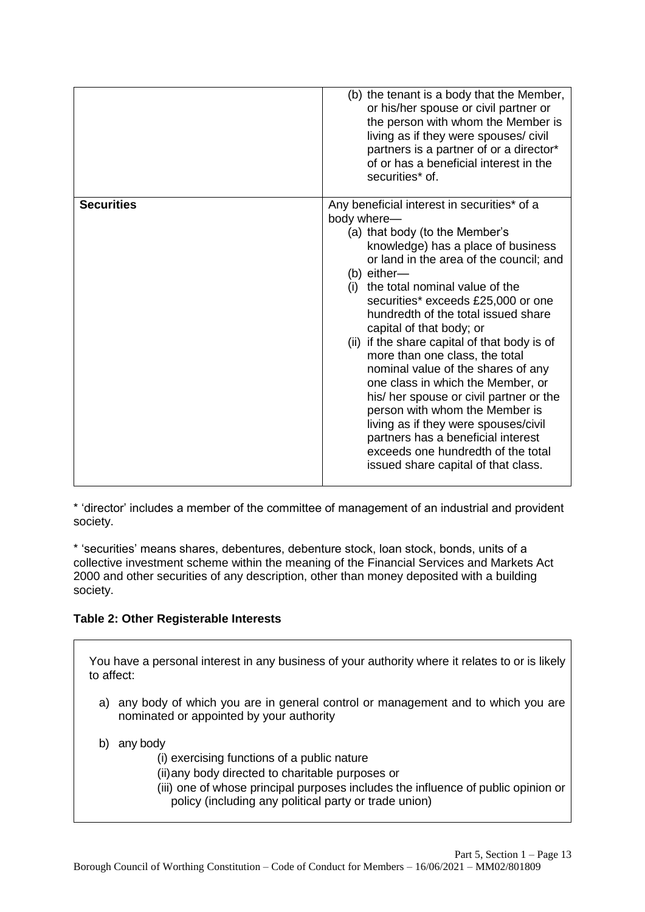|                   | (b) the tenant is a body that the Member,<br>or his/her spouse or civil partner or<br>the person with whom the Member is<br>living as if they were spouses/ civil<br>partners is a partner of or a director*<br>of or has a beneficial interest in the<br>securities* of.                                                                                                                                                                                                                                                                                                                                                                                                                                                                        |
|-------------------|--------------------------------------------------------------------------------------------------------------------------------------------------------------------------------------------------------------------------------------------------------------------------------------------------------------------------------------------------------------------------------------------------------------------------------------------------------------------------------------------------------------------------------------------------------------------------------------------------------------------------------------------------------------------------------------------------------------------------------------------------|
| <b>Securities</b> | Any beneficial interest in securities* of a<br>body where-<br>(a) that body (to the Member's<br>knowledge) has a place of business<br>or land in the area of the council; and<br>(b) either-<br>(i) the total nominal value of the<br>securities* exceeds £25,000 or one<br>hundredth of the total issued share<br>capital of that body; or<br>(ii) if the share capital of that body is of<br>more than one class, the total<br>nominal value of the shares of any<br>one class in which the Member, or<br>his/ her spouse or civil partner or the<br>person with whom the Member is<br>living as if they were spouses/civil<br>partners has a beneficial interest<br>exceeds one hundredth of the total<br>issued share capital of that class. |

\* 'director' includes a member of the committee of management of an industrial and provident society.

\* 'securities' means shares, debentures, debenture stock, loan stock, bonds, units of a collective investment scheme within the meaning of the Financial Services and Markets Act 2000 and other securities of any description, other than money deposited with a building society.

## **Table 2: Other Registerable Interests**

You have a personal interest in any business of your authority where it relates to or is likely to affect:

- a) any body of which you are in general control or management and to which you are nominated or appointed by your authority
- b) any body
	- (i) exercising functions of a public nature
	- (ii)any body directed to charitable purposes or
	- (iii) one of whose principal purposes includes the influence of public opinion or policy (including any political party or trade union)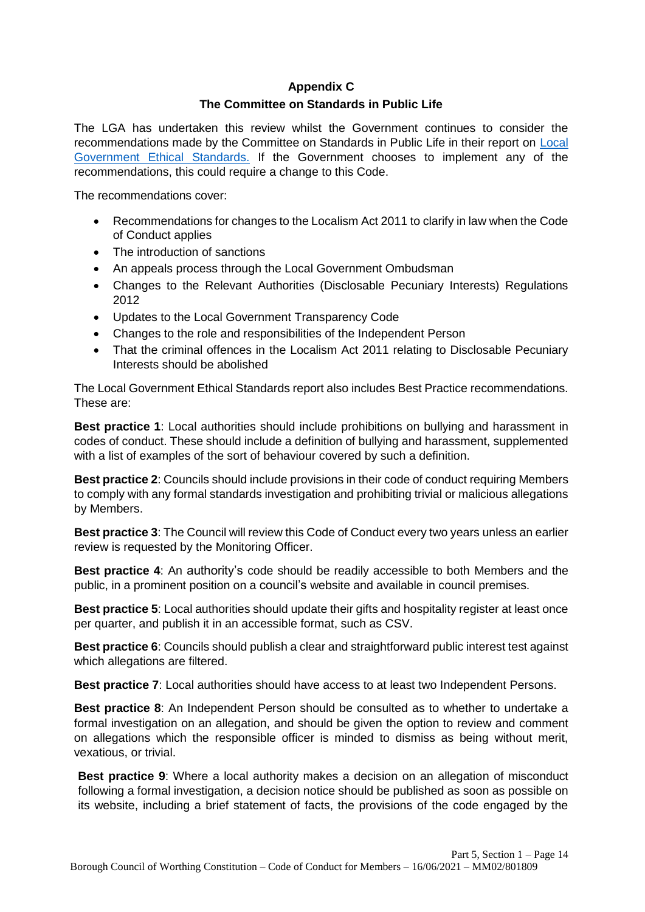# **Appendix C The Committee on Standards in Public Life**

The LGA has undertaken this review whilst the Government continues to consider the recommendations made by the Committee on Standards in Public Life in their report on Local Government Ethical Standards. If the Government chooses to implement any of the recommendations, this could require a change to this Code.

The recommendations cover:

- Recommendations for changes to the Localism Act 2011 to clarify in law when the Code of Conduct applies
- The introduction of sanctions
- An appeals process through the Local Government Ombudsman
- Changes to the Relevant Authorities (Disclosable Pecuniary Interests) Regulations 2012
- Updates to the Local Government Transparency Code
- Changes to the role and responsibilities of the Independent Person
- That the criminal offences in the Localism Act 2011 relating to Disclosable Pecuniary Interests should be abolished

The Local Government Ethical Standards report also includes Best Practice recommendations. These are:

**Best practice 1**: Local authorities should include prohibitions on bullying and harassment in codes of conduct. These should include a definition of bullying and harassment, supplemented with a list of examples of the sort of behaviour covered by such a definition.

**Best practice 2**: Councils should include provisions in their code of conduct requiring Members to comply with any formal standards investigation and prohibiting trivial or malicious allegations by Members.

**Best practice 3**: The Council will review this Code of Conduct every two years unless an earlier review is requested by the Monitoring Officer.

**Best practice 4**: An authority's code should be readily accessible to both Members and the public, in a prominent position on a council's website and available in council premises.

**Best practice 5**: Local authorities should update their gifts and hospitality register at least once per quarter, and publish it in an accessible format, such as CSV.

**Best practice 6**: Councils should publish a clear and straightforward public interest test against which allegations are filtered.

**Best practice 7**: Local authorities should have access to at least two Independent Persons.

**Best practice 8**: An Independent Person should be consulted as to whether to undertake a formal investigation on an allegation, and should be given the option to review and comment on allegations which the responsible officer is minded to dismiss as being without merit, vexatious, or trivial.

**Best practice 9**: Where a local authority makes a decision on an allegation of misconduct following a formal investigation, a decision notice should be published as soon as possible on its website, including a brief statement of facts, the provisions of the code engaged by the